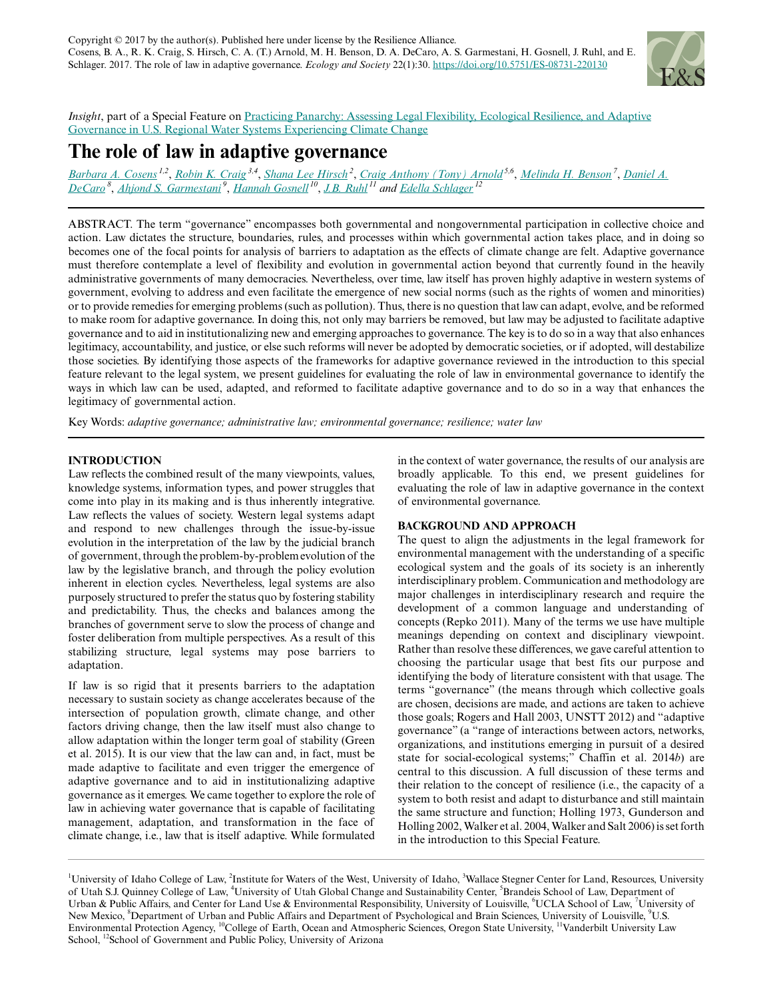

*Insight*, part of a Special Feature on [Practicing Panarchy: Assessing Legal Flexibility, Ecological Resilience, and Adaptive](http://www.ecologyandsociety.org/viewissue.php?sf=122) [Governance in U.S. Regional Water Systems Experiencing Climate Change](http://www.ecologyandsociety.org/viewissue.php?sf=122)

# **The role of law in adaptive governance**

*[Barbara A. Cosens](mailto:bcosens@uidaho.edu) 1,2* , *[Robin K. Craig](mailto:robin.craig@law.utah.edu) 3,4* , *[Shana Lee Hirsch](mailto:hirs3810@vandals.uidaho.edu)<sup>2</sup>* , *[Craig Anthony \(Tony\) Arnold](mailto:tony.arnold@louisville.edu) 5,6* , *[Melinda H. Benson](mailto:mhbenson@unm.edu)<sup>7</sup>* , *[Daniel A.](mailto:daniel.decaro@louisville.edu) [DeCaro](mailto:daniel.decaro@louisville.edu)<sup>8</sup>* , *[Ahjond S. Garmestani](mailto:garmestani.ahjond@epa.gov)<sup>9</sup>* , *[Hannah Gosnell](mailto:gosnellh@geo.oregonstate.edu)<sup>10</sup>* , *[J.B. Ruhl](mailto:jb.ruhl@vanderbilt.edu)<sup>11</sup> and [Edella Schlager](mailto:edella.schlager@gmail.com)<sup>12</sup>*

ABSTRACT. The term "governance" encompasses both governmental and nongovernmental participation in collective choice and action. Law dictates the structure, boundaries, rules, and processes within which governmental action takes place, and in doing so becomes one of the focal points for analysis of barriers to adaptation as the effects of climate change are felt. Adaptive governance must therefore contemplate a level of flexibility and evolution in governmental action beyond that currently found in the heavily administrative governments of many democracies. Nevertheless, over time, law itself has proven highly adaptive in western systems of government, evolving to address and even facilitate the emergence of new social norms (such as the rights of women and minorities) or to provide remedies for emerging problems (such as pollution). Thus, there is no question that law can adapt, evolve, and be reformed to make room for adaptive governance. In doing this, not only may barriers be removed, but law may be adjusted to facilitate adaptive governance and to aid in institutionalizing new and emerging approaches to governance. The key is to do so in a way that also enhances legitimacy, accountability, and justice, or else such reforms will never be adopted by democratic societies, or if adopted, will destabilize those societies. By identifying those aspects of the frameworks for adaptive governance reviewed in the introduction to this special feature relevant to the legal system, we present guidelines for evaluating the role of law in environmental governance to identify the ways in which law can be used, adapted, and reformed to facilitate adaptive governance and to do so in a way that enhances the legitimacy of governmental action.

Key Words: *adaptive governance; administrative law; environmental governance; resilience; water law*

# **INTRODUCTION**

Law reflects the combined result of the many viewpoints, values, knowledge systems, information types, and power struggles that come into play in its making and is thus inherently integrative. Law reflects the values of society. Western legal systems adapt and respond to new challenges through the issue-by-issue evolution in the interpretation of the law by the judicial branch of government, through the problem-by-problem evolution of the law by the legislative branch, and through the policy evolution inherent in election cycles. Nevertheless, legal systems are also purposely structured to prefer the status quo by fostering stability and predictability. Thus, the checks and balances among the branches of government serve to slow the process of change and foster deliberation from multiple perspectives. As a result of this stabilizing structure, legal systems may pose barriers to adaptation.

If law is so rigid that it presents barriers to the adaptation necessary to sustain society as change accelerates because of the intersection of population growth, climate change, and other factors driving change, then the law itself must also change to allow adaptation within the longer term goal of stability (Green et al. 2015). It is our view that the law can and, in fact, must be made adaptive to facilitate and even trigger the emergence of adaptive governance and to aid in institutionalizing adaptive governance as it emerges. We came together to explore the role of law in achieving water governance that is capable of facilitating management, adaptation, and transformation in the face of climate change, i.e., law that is itself adaptive. While formulated

in the context of water governance, the results of our analysis are broadly applicable. To this end, we present guidelines for evaluating the role of law in adaptive governance in the context of environmental governance.

# **BACKGROUND AND APPROACH**

The quest to align the adjustments in the legal framework for environmental management with the understanding of a specific ecological system and the goals of its society is an inherently interdisciplinary problem. Communication and methodology are major challenges in interdisciplinary research and require the development of a common language and understanding of concepts (Repko 2011). Many of the terms we use have multiple meanings depending on context and disciplinary viewpoint. Rather than resolve these differences, we gave careful attention to choosing the particular usage that best fits our purpose and identifying the body of literature consistent with that usage. The terms "governance" (the means through which collective goals are chosen, decisions are made, and actions are taken to achieve those goals; Rogers and Hall 2003, UNSTT 2012) and "adaptive governance" (a "range of interactions between actors, networks, organizations, and institutions emerging in pursuit of a desired state for social-ecological systems;" Chaffin et al. 2014*b*) are central to this discussion. A full discussion of these terms and their relation to the concept of resilience (i.e., the capacity of a system to both resist and adapt to disturbance and still maintain the same structure and function; Holling 1973, Gunderson and Holling 2002, Walker et al. 2004, Walker and Salt 2006) is set forth in the introduction to this Special Feature.

<sup>&</sup>lt;sup>1</sup>University of Idaho College of Law, <sup>2</sup>Institute for Waters of the West, University of Idaho, <sup>3</sup>Wallace Stegner Center for Land, Resources, University of Utah S.J. Quinney College of Law, <sup>4</sup>University of Utah Global Change and Sustainability Center, <sup>5</sup>Brandeis School of Law, Department of Urban & Public Affairs, and Center for Land Use & Environmental Responsibility, University of Louisville, <sup>6</sup>UCLA School of Law, <sup>7</sup>University of New Mexico, <sup>8</sup>Department of Urban and Public Affairs and Department of Psychological and Brain Sciences, University of Louisville, <sup>9</sup>U.S. Environmental Protection Agency, <sup>10</sup>College of Earth, Ocean and Atmospheric Sciences, Oregon State University, <sup>11</sup>Vanderbilt University Law School, <sup>12</sup>School of Government and Public Policy, University of Arizona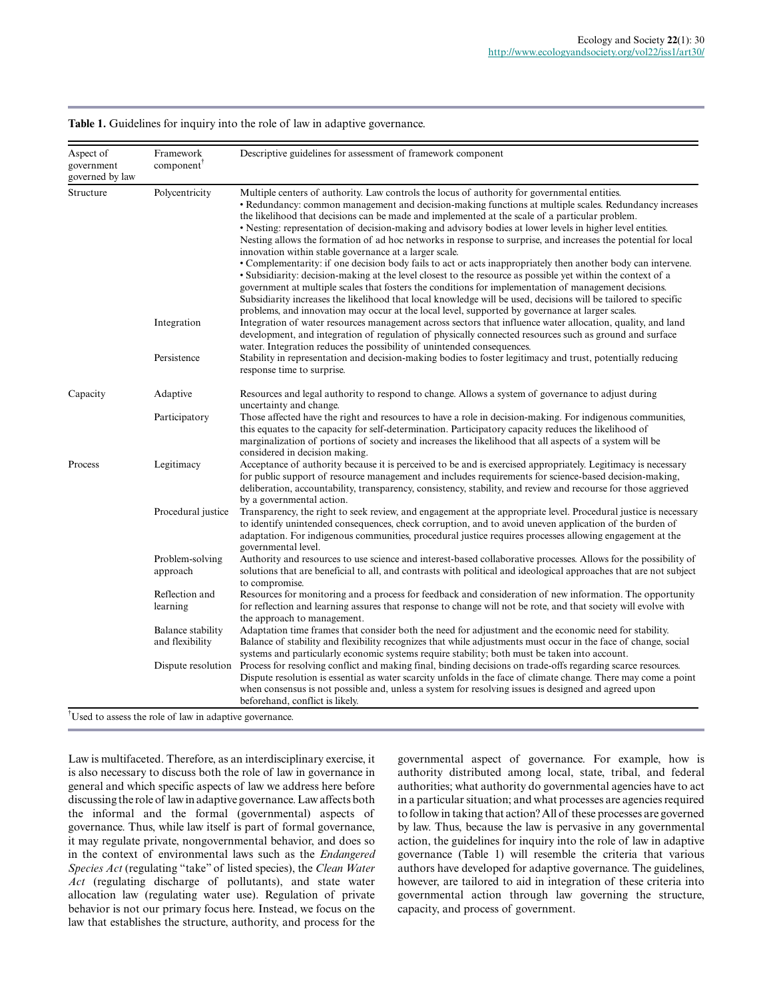| Aspect of<br>government<br>governed by law | Framework<br>component                                                                    | Descriptive guidelines for assessment of framework component                                                                                                                                                                                                                                                                                                                                                                                                                                                                                                                                                                                                                                                                                                                                                                                                                                                                                                                                                                                                                                                                                                          |
|--------------------------------------------|-------------------------------------------------------------------------------------------|-----------------------------------------------------------------------------------------------------------------------------------------------------------------------------------------------------------------------------------------------------------------------------------------------------------------------------------------------------------------------------------------------------------------------------------------------------------------------------------------------------------------------------------------------------------------------------------------------------------------------------------------------------------------------------------------------------------------------------------------------------------------------------------------------------------------------------------------------------------------------------------------------------------------------------------------------------------------------------------------------------------------------------------------------------------------------------------------------------------------------------------------------------------------------|
| Structure                                  | Polycentricity                                                                            | Multiple centers of authority. Law controls the locus of authority for governmental entities.<br>• Redundancy: common management and decision-making functions at multiple scales. Redundancy increases<br>the likelihood that decisions can be made and implemented at the scale of a particular problem.<br>• Nesting: representation of decision-making and advisory bodies at lower levels in higher level entities.<br>Nesting allows the formation of ad hoc networks in response to surprise, and increases the potential for local<br>innovation within stable governance at a larger scale.<br>• Complementarity: if one decision body fails to act or acts inappropriately then another body can intervene.<br>• Subsidiarity: decision-making at the level closest to the resource as possible yet within the context of a<br>government at multiple scales that fosters the conditions for implementation of management decisions.<br>Subsidiarity increases the likelihood that local knowledge will be used, decisions will be tailored to specific<br>problems, and innovation may occur at the local level, supported by governance at larger scales. |
|                                            | Integration                                                                               | Integration of water resources management across sectors that influence water allocation, quality, and land<br>development, and integration of regulation of physically connected resources such as ground and surface<br>water. Integration reduces the possibility of unintended consequences.                                                                                                                                                                                                                                                                                                                                                                                                                                                                                                                                                                                                                                                                                                                                                                                                                                                                      |
|                                            | Persistence                                                                               | Stability in representation and decision-making bodies to foster legitimacy and trust, potentially reducing<br>response time to surprise.                                                                                                                                                                                                                                                                                                                                                                                                                                                                                                                                                                                                                                                                                                                                                                                                                                                                                                                                                                                                                             |
| Capacity                                   | Adaptive                                                                                  | Resources and legal authority to respond to change. Allows a system of governance to adjust during<br>uncertainty and change.                                                                                                                                                                                                                                                                                                                                                                                                                                                                                                                                                                                                                                                                                                                                                                                                                                                                                                                                                                                                                                         |
|                                            | Participatory                                                                             | Those affected have the right and resources to have a role in decision-making. For indigenous communities,<br>this equates to the capacity for self-determination. Participatory capacity reduces the likelihood of<br>marginalization of portions of society and increases the likelihood that all aspects of a system will be<br>considered in decision making.                                                                                                                                                                                                                                                                                                                                                                                                                                                                                                                                                                                                                                                                                                                                                                                                     |
| Process                                    | Legitimacy                                                                                | Acceptance of authority because it is perceived to be and is exercised appropriately. Legitimacy is necessary<br>for public support of resource management and includes requirements for science-based decision-making,<br>deliberation, accountability, transparency, consistency, stability, and review and recourse for those aggrieved<br>by a governmental action.                                                                                                                                                                                                                                                                                                                                                                                                                                                                                                                                                                                                                                                                                                                                                                                               |
|                                            | Procedural justice                                                                        | Transparency, the right to seek review, and engagement at the appropriate level. Procedural justice is necessary<br>to identify unintended consequences, check corruption, and to avoid uneven application of the burden of<br>adaptation. For indigenous communities, procedural justice requires processes allowing engagement at the<br>governmental level.                                                                                                                                                                                                                                                                                                                                                                                                                                                                                                                                                                                                                                                                                                                                                                                                        |
|                                            | Problem-solving<br>approach                                                               | Authority and resources to use science and interest-based collaborative processes. Allows for the possibility of<br>solutions that are beneficial to all, and contrasts with political and ideological approaches that are not subject<br>to compromise.                                                                                                                                                                                                                                                                                                                                                                                                                                                                                                                                                                                                                                                                                                                                                                                                                                                                                                              |
|                                            | Reflection and<br>learning                                                                | Resources for monitoring and a process for feedback and consideration of new information. The opportunity<br>for reflection and learning assures that response to change will not be rote, and that society will evolve with<br>the approach to management.                                                                                                                                                                                                                                                                                                                                                                                                                                                                                                                                                                                                                                                                                                                                                                                                                                                                                                           |
|                                            | <b>Balance stability</b><br>and flexibility                                               | Adaptation time frames that consider both the need for adjustment and the economic need for stability.<br>Balance of stability and flexibility recognizes that while adjustments must occur in the face of change, social<br>systems and particularly economic systems require stability; both must be taken into account.                                                                                                                                                                                                                                                                                                                                                                                                                                                                                                                                                                                                                                                                                                                                                                                                                                            |
|                                            | Dispute resolution<br><sup>†</sup> Used to assess the role of law in adaptive governance. | Process for resolving conflict and making final, binding decisions on trade-offs regarding scarce resources.<br>Dispute resolution is essential as water scarcity unfolds in the face of climate change. There may come a point<br>when consensus is not possible and, unless a system for resolving issues is designed and agreed upon<br>beforehand, conflict is likely.                                                                                                                                                                                                                                                                                                                                                                                                                                                                                                                                                                                                                                                                                                                                                                                            |

**Table 1.** Guidelines for inquiry into the role of law in adaptive governance.

Law is multifaceted. Therefore, as an interdisciplinary exercise, it is also necessary to discuss both the role of law in governance in general and which specific aspects of law we address here before discussing the role of law in adaptive governance. Law affects both the informal and the formal (governmental) aspects of governance. Thus, while law itself is part of formal governance, it may regulate private, nongovernmental behavior, and does so in the context of environmental laws such as the *Endangered Species Act* (regulating "take" of listed species), the *Clean Water Act* (regulating discharge of pollutants), and state water allocation law (regulating water use). Regulation of private behavior is not our primary focus here. Instead, we focus on the law that establishes the structure, authority, and process for the

governmental aspect of governance. For example, how is authority distributed among local, state, tribal, and federal authorities; what authority do governmental agencies have to act in a particular situation; and what processes are agencies required to follow in taking that action? All of these processes are governed by law. Thus, because the law is pervasive in any governmental action, the guidelines for inquiry into the role of law in adaptive governance (Table 1) will resemble the criteria that various authors have developed for adaptive governance. The guidelines, however, are tailored to aid in integration of these criteria into governmental action through law governing the structure, capacity, and process of government.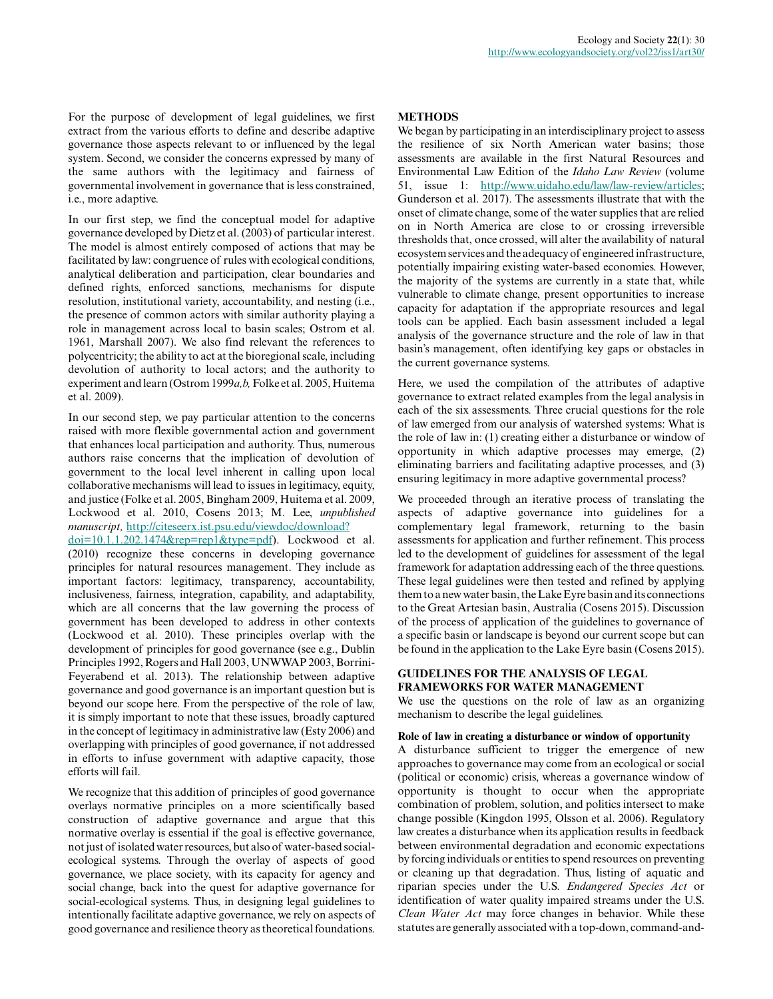For the purpose of development of legal guidelines, we first extract from the various efforts to define and describe adaptive governance those aspects relevant to or influenced by the legal system. Second, we consider the concerns expressed by many of the same authors with the legitimacy and fairness of governmental involvement in governance that is less constrained, i.e., more adaptive.

In our first step, we find the conceptual model for adaptive governance developed by Dietz et al. (2003) of particular interest. The model is almost entirely composed of actions that may be facilitated by law: congruence of rules with ecological conditions, analytical deliberation and participation, clear boundaries and defined rights, enforced sanctions, mechanisms for dispute resolution, institutional variety, accountability, and nesting (i.e., the presence of common actors with similar authority playing a role in management across local to basin scales; Ostrom et al. 1961, Marshall 2007). We also find relevant the references to polycentricity; the ability to act at the bioregional scale, including devolution of authority to local actors; and the authority to experiment and learn (Ostrom 1999*a,b,* Folke et al. 2005, Huitema et al. 2009).

In our second step, we pay particular attention to the concerns raised with more flexible governmental action and government that enhances local participation and authority. Thus, numerous authors raise concerns that the implication of devolution of government to the local level inherent in calling upon local collaborative mechanisms will lead to issues in legitimacy, equity, and justice (Folke et al. 2005, Bingham 2009, Huitema et al. 2009, Lockwood et al. 2010, Cosens 2013; M. Lee, *unpublished manuscript,* [http://citeseerx.ist.psu.edu/viewdoc/download?](http://citeseerx.ist.psu.edu/viewdoc/download?doi=10.1.1.202.1474&rep=rep1&type=pdf)

[doi=10.1.1.202.1474&rep=rep1&type=pdf\)](http://citeseerx.ist.psu.edu/viewdoc/download?doi=10.1.1.202.1474&rep=rep1&type=pdf). Lockwood et al. (2010) recognize these concerns in developing governance principles for natural resources management. They include as important factors: legitimacy, transparency, accountability, inclusiveness, fairness, integration, capability, and adaptability, which are all concerns that the law governing the process of government has been developed to address in other contexts (Lockwood et al. 2010). These principles overlap with the development of principles for good governance (see e.g., Dublin Principles 1992, Rogers and Hall 2003, UNWWAP 2003, Borrini-Feyerabend et al. 2013). The relationship between adaptive governance and good governance is an important question but is beyond our scope here. From the perspective of the role of law, it is simply important to note that these issues, broadly captured in the concept of legitimacy in administrative law (Esty 2006) and overlapping with principles of good governance, if not addressed in efforts to infuse government with adaptive capacity, those efforts will fail.

We recognize that this addition of principles of good governance overlays normative principles on a more scientifically based construction of adaptive governance and argue that this normative overlay is essential if the goal is effective governance, not just of isolated water resources, but also of water-based socialecological systems. Through the overlay of aspects of good governance, we place society, with its capacity for agency and social change, back into the quest for adaptive governance for social-ecological systems. Thus, in designing legal guidelines to intentionally facilitate adaptive governance, we rely on aspects of good governance and resilience theory as theoretical foundations.

# **METHODS**

We began by participating in an interdisciplinary project to assess the resilience of six North American water basins; those assessments are available in the first Natural Resources and Environmental Law Edition of the *Idaho Law Review* (volume 51, issue 1: [http://www.uidaho.edu/law/law-review/articles;](http://www.uidaho.edu/law/law-review/articles) Gunderson et al. 2017). The assessments illustrate that with the onset of climate change, some of the water supplies that are relied on in North America are close to or crossing irreversible thresholds that, once crossed, will alter the availability of natural ecosystem services and the adequacy of engineered infrastructure, potentially impairing existing water-based economies. However, the majority of the systems are currently in a state that, while vulnerable to climate change, present opportunities to increase capacity for adaptation if the appropriate resources and legal tools can be applied. Each basin assessment included a legal analysis of the governance structure and the role of law in that basin's management, often identifying key gaps or obstacles in the current governance systems.

Here, we used the compilation of the attributes of adaptive governance to extract related examples from the legal analysis in each of the six assessments. Three crucial questions for the role of law emerged from our analysis of watershed systems: What is the role of law in: (1) creating either a disturbance or window of opportunity in which adaptive processes may emerge, (2) eliminating barriers and facilitating adaptive processes, and (3) ensuring legitimacy in more adaptive governmental process?

We proceeded through an iterative process of translating the aspects of adaptive governance into guidelines for a complementary legal framework, returning to the basin assessments for application and further refinement. This process led to the development of guidelines for assessment of the legal framework for adaptation addressing each of the three questions. These legal guidelines were then tested and refined by applying them to a new water basin, the Lake Eyre basin and its connections to the Great Artesian basin, Australia (Cosens 2015). Discussion of the process of application of the guidelines to governance of a specific basin or landscape is beyond our current scope but can be found in the application to the Lake Eyre basin (Cosens 2015).

# **GUIDELINES FOR THE ANALYSIS OF LEGAL FRAMEWORKS FOR WATER MANAGEMENT**

We use the questions on the role of law as an organizing mechanism to describe the legal guidelines.

#### **Role of law in creating a disturbance or window of opportunity**

A disturbance sufficient to trigger the emergence of new approaches to governance may come from an ecological or social (political or economic) crisis, whereas a governance window of opportunity is thought to occur when the appropriate combination of problem, solution, and politics intersect to make change possible (Kingdon 1995, Olsson et al. 2006). Regulatory law creates a disturbance when its application results in feedback between environmental degradation and economic expectations by forcing individuals or entities to spend resources on preventing or cleaning up that degradation. Thus, listing of aquatic and riparian species under the U.S. *Endangered Species Act* or identification of water quality impaired streams under the U.S. *Clean Water Act* may force changes in behavior. While these statutes are generally associated with a top-down, command-and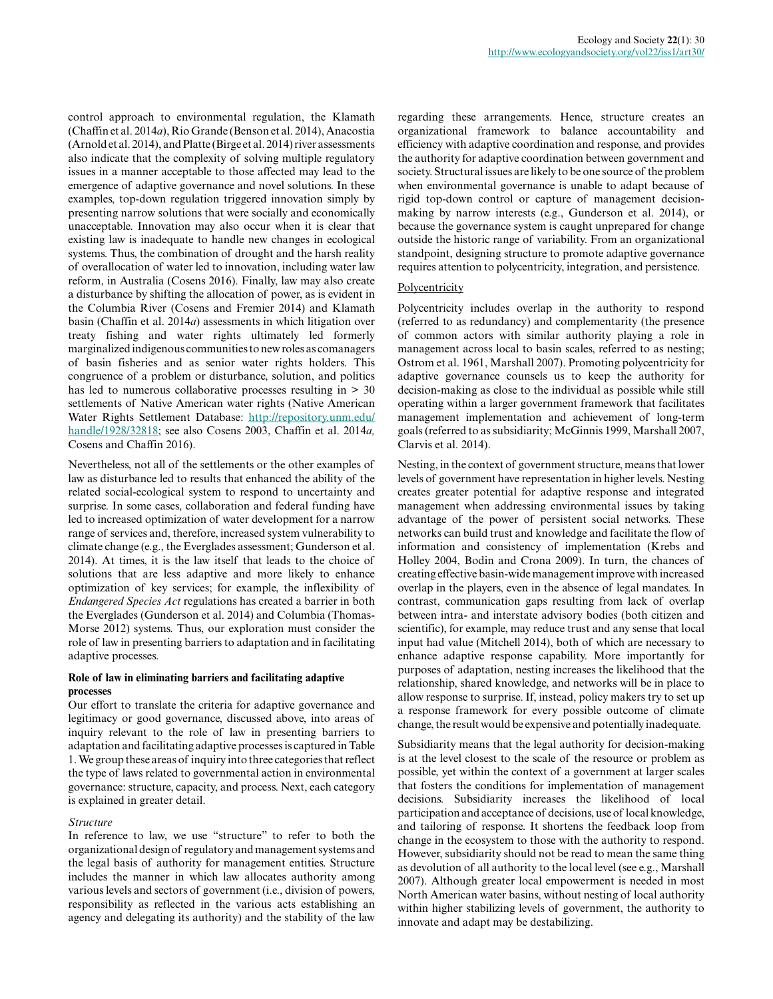control approach to environmental regulation, the Klamath (Chaffin et al. 2014*a*), Rio Grande (Benson et al. 2014), Anacostia (Arnold et al. 2014), and Platte (Birge et al. 2014) river assessments also indicate that the complexity of solving multiple regulatory issues in a manner acceptable to those affected may lead to the emergence of adaptive governance and novel solutions. In these examples, top-down regulation triggered innovation simply by presenting narrow solutions that were socially and economically unacceptable. Innovation may also occur when it is clear that existing law is inadequate to handle new changes in ecological systems. Thus, the combination of drought and the harsh reality of overallocation of water led to innovation, including water law reform, in Australia (Cosens 2016). Finally, law may also create a disturbance by shifting the allocation of power, as is evident in the Columbia River (Cosens and Fremier 2014) and Klamath basin (Chaffin et al. 2014*a*) assessments in which litigation over treaty fishing and water rights ultimately led formerly marginalized indigenous communities to new roles as comanagers of basin fisheries and as senior water rights holders. This congruence of a problem or disturbance, solution, and politics has led to numerous collaborative processes resulting in  $> 30$ settlements of Native American water rights (Native American Water Rights Settlement Database: [http://repository.unm.edu/](http://repository.unm.edu/handle/1928/32818) [handle/1928/32818](http://repository.unm.edu/handle/1928/32818); see also Cosens 2003, Chaffin et al. 2014*a,* Cosens and Chaffin 2016).

Nevertheless, not all of the settlements or the other examples of law as disturbance led to results that enhanced the ability of the related social-ecological system to respond to uncertainty and surprise. In some cases, collaboration and federal funding have led to increased optimization of water development for a narrow range of services and, therefore, increased system vulnerability to climate change (e.g., the Everglades assessment; Gunderson et al. 2014). At times, it is the law itself that leads to the choice of solutions that are less adaptive and more likely to enhance optimization of key services; for example, the inflexibility of *Endangered Species Act* regulations has created a barrier in both the Everglades (Gunderson et al. 2014) and Columbia (Thomas-Morse 2012) systems. Thus, our exploration must consider the role of law in presenting barriers to adaptation and in facilitating adaptive processes.

## **Role of law in eliminating barriers and facilitating adaptive processes**

Our effort to translate the criteria for adaptive governance and legitimacy or good governance, discussed above, into areas of inquiry relevant to the role of law in presenting barriers to adaptation and facilitating adaptive processes is captured in Table 1. We group these areas of inquiry into three categories that reflect the type of laws related to governmental action in environmental governance: structure, capacity, and process. Next, each category is explained in greater detail.

#### *Structure*

In reference to law, we use "structure" to refer to both the organizational design of regulatory and management systems and the legal basis of authority for management entities. Structure includes the manner in which law allocates authority among various levels and sectors of government (i.e., division of powers, responsibility as reflected in the various acts establishing an agency and delegating its authority) and the stability of the law

regarding these arrangements. Hence, structure creates an organizational framework to balance accountability and efficiency with adaptive coordination and response, and provides the authority for adaptive coordination between government and society. Structural issues are likely to be one source of the problem when environmental governance is unable to adapt because of rigid top-down control or capture of management decisionmaking by narrow interests (e.g., Gunderson et al. 2014), or because the governance system is caught unprepared for change outside the historic range of variability. From an organizational standpoint, designing structure to promote adaptive governance requires attention to polycentricity, integration, and persistence.

# **Polycentricity**

Polycentricity includes overlap in the authority to respond (referred to as redundancy) and complementarity (the presence of common actors with similar authority playing a role in management across local to basin scales, referred to as nesting; Ostrom et al. 1961, Marshall 2007). Promoting polycentricity for adaptive governance counsels us to keep the authority for decision-making as close to the individual as possible while still operating within a larger government framework that facilitates management implementation and achievement of long-term goals (referred to as subsidiarity; McGinnis 1999, Marshall 2007, Clarvis et al. 2014).

Nesting, in the context of government structure, means that lower levels of government have representation in higher levels. Nesting creates greater potential for adaptive response and integrated management when addressing environmental issues by taking advantage of the power of persistent social networks. These networks can build trust and knowledge and facilitate the flow of information and consistency of implementation (Krebs and Holley 2004, Bodin and Crona 2009). In turn, the chances of creating effective basin-wide management improve with increased overlap in the players, even in the absence of legal mandates. In contrast, communication gaps resulting from lack of overlap between intra- and interstate advisory bodies (both citizen and scientific), for example, may reduce trust and any sense that local input had value (Mitchell 2014), both of which are necessary to enhance adaptive response capability. More importantly for purposes of adaptation, nesting increases the likelihood that the relationship, shared knowledge, and networks will be in place to allow response to surprise. If, instead, policy makers try to set up a response framework for every possible outcome of climate change, the result would be expensive and potentially inadequate.

Subsidiarity means that the legal authority for decision-making is at the level closest to the scale of the resource or problem as possible, yet within the context of a government at larger scales that fosters the conditions for implementation of management decisions. Subsidiarity increases the likelihood of local participation and acceptance of decisions, use of local knowledge, and tailoring of response. It shortens the feedback loop from change in the ecosystem to those with the authority to respond. However, subsidiarity should not be read to mean the same thing as devolution of all authority to the local level (see e.g., Marshall 2007). Although greater local empowerment is needed in most North American water basins, without nesting of local authority within higher stabilizing levels of government, the authority to innovate and adapt may be destabilizing.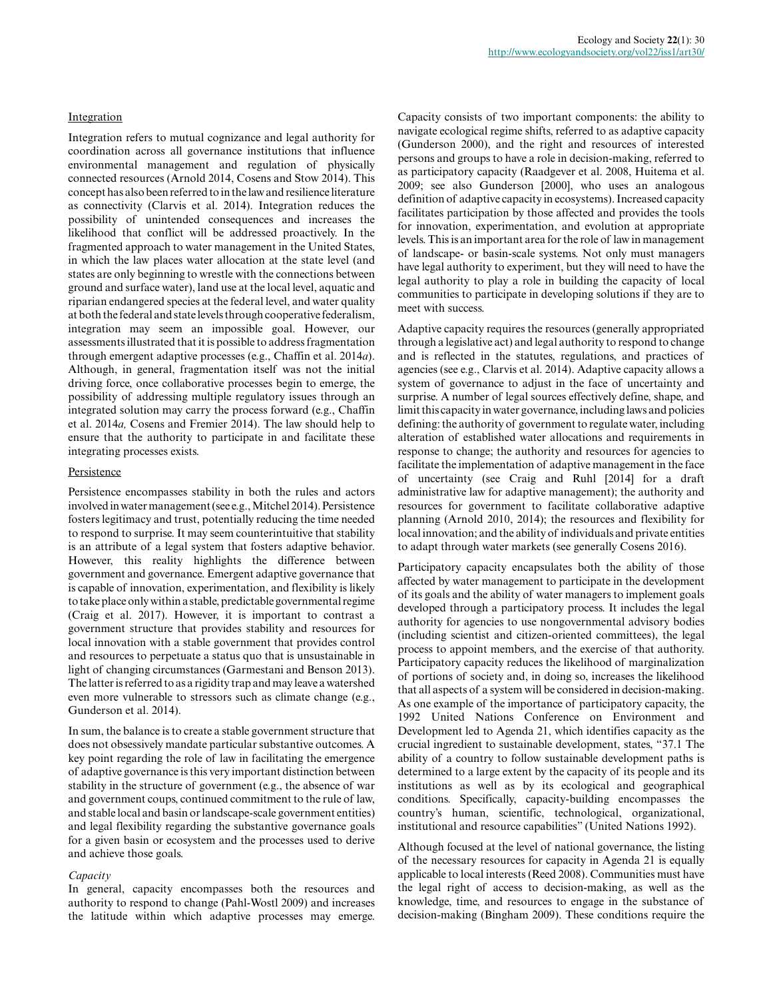Integration refers to mutual cognizance and legal authority for coordination across all governance institutions that influence environmental management and regulation of physically connected resources (Arnold 2014, Cosens and Stow 2014). This concept has also been referred to in the law and resilience literature as connectivity (Clarvis et al. 2014). Integration reduces the possibility of unintended consequences and increases the likelihood that conflict will be addressed proactively. In the fragmented approach to water management in the United States, in which the law places water allocation at the state level (and states are only beginning to wrestle with the connections between ground and surface water), land use at the local level, aquatic and riparian endangered species at the federal level, and water quality at both the federal and state levels through cooperative federalism, integration may seem an impossible goal. However, our assessments illustrated that it is possible to address fragmentation through emergent adaptive processes (e.g., Chaffin et al. 2014*a*). Although, in general, fragmentation itself was not the initial driving force, once collaborative processes begin to emerge, the possibility of addressing multiple regulatory issues through an integrated solution may carry the process forward (e.g., Chaffin et al. 2014*a,* Cosens and Fremier 2014). The law should help to ensure that the authority to participate in and facilitate these integrating processes exists.

#### Persistence

Persistence encompasses stability in both the rules and actors involved in water management (see e.g., Mitchel 2014). Persistence fosters legitimacy and trust, potentially reducing the time needed to respond to surprise. It may seem counterintuitive that stability is an attribute of a legal system that fosters adaptive behavior. However, this reality highlights the difference between government and governance. Emergent adaptive governance that is capable of innovation, experimentation, and flexibility is likely to take place only within a stable, predictable governmental regime (Craig et al. 2017). However, it is important to contrast a government structure that provides stability and resources for local innovation with a stable government that provides control and resources to perpetuate a status quo that is unsustainable in light of changing circumstances (Garmestani and Benson 2013). The latter is referred to as a rigidity trap and may leave a watershed even more vulnerable to stressors such as climate change (e.g., Gunderson et al. 2014).

In sum, the balance is to create a stable government structure that does not obsessively mandate particular substantive outcomes. A key point regarding the role of law in facilitating the emergence of adaptive governance is this very important distinction between stability in the structure of government (e.g., the absence of war and government coups, continued commitment to the rule of law, and stable local and basin or landscape-scale government entities) and legal flexibility regarding the substantive governance goals for a given basin or ecosystem and the processes used to derive and achieve those goals.

#### *Capacity*

In general, capacity encompasses both the resources and authority to respond to change (Pahl-Wostl 2009) and increases the latitude within which adaptive processes may emerge. Capacity consists of two important components: the ability to navigate ecological regime shifts, referred to as adaptive capacity (Gunderson 2000), and the right and resources of interested persons and groups to have a role in decision-making, referred to as participatory capacity (Raadgever et al. 2008, Huitema et al. 2009; see also Gunderson [2000], who uses an analogous definition of adaptive capacity in ecosystems). Increased capacity facilitates participation by those affected and provides the tools for innovation, experimentation, and evolution at appropriate levels. This is an important area for the role of law in management of landscape- or basin-scale systems. Not only must managers have legal authority to experiment, but they will need to have the legal authority to play a role in building the capacity of local communities to participate in developing solutions if they are to meet with success.

Adaptive capacity requires the resources (generally appropriated through a legislative act) and legal authority to respond to change and is reflected in the statutes, regulations, and practices of agencies (see e.g., Clarvis et al. 2014). Adaptive capacity allows a system of governance to adjust in the face of uncertainty and surprise. A number of legal sources effectively define, shape, and limit this capacity in water governance, including laws and policies defining: the authority of government to regulate water, including alteration of established water allocations and requirements in response to change; the authority and resources for agencies to facilitate the implementation of adaptive management in the face of uncertainty (see Craig and Ruhl [2014] for a draft administrative law for adaptive management); the authority and resources for government to facilitate collaborative adaptive planning (Arnold 2010, 2014); the resources and flexibility for local innovation; and the ability of individuals and private entities to adapt through water markets (see generally Cosens 2016).

Participatory capacity encapsulates both the ability of those affected by water management to participate in the development of its goals and the ability of water managers to implement goals developed through a participatory process. It includes the legal authority for agencies to use nongovernmental advisory bodies (including scientist and citizen-oriented committees), the legal process to appoint members, and the exercise of that authority. Participatory capacity reduces the likelihood of marginalization of portions of society and, in doing so, increases the likelihood that all aspects of a system will be considered in decision-making. As one example of the importance of participatory capacity, the 1992 United Nations Conference on Environment and Development led to Agenda 21, which identifies capacity as the crucial ingredient to sustainable development, states, "37.1 The ability of a country to follow sustainable development paths is determined to a large extent by the capacity of its people and its institutions as well as by its ecological and geographical conditions. Specifically, capacity-building encompasses the country's human, scientific, technological, organizational, institutional and resource capabilities" (United Nations 1992).

Although focused at the level of national governance, the listing of the necessary resources for capacity in Agenda 21 is equally applicable to local interests (Reed 2008). Communities must have the legal right of access to decision-making, as well as the knowledge, time, and resources to engage in the substance of decision-making (Bingham 2009). These conditions require the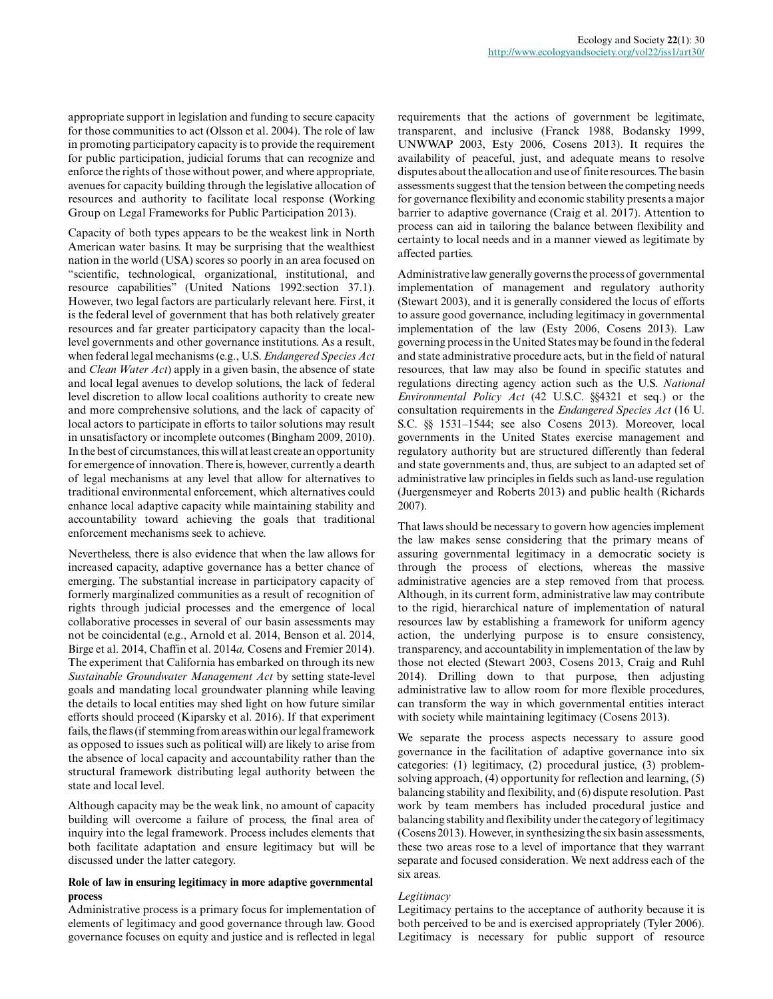appropriate support in legislation and funding to secure capacity for those communities to act (Olsson et al. 2004). The role of law in promoting participatory capacity is to provide the requirement for public participation, judicial forums that can recognize and enforce the rights of those without power, and where appropriate, avenues for capacity building through the legislative allocation of resources and authority to facilitate local response (Working Group on Legal Frameworks for Public Participation 2013).

Capacity of both types appears to be the weakest link in North American water basins. It may be surprising that the wealthiest nation in the world (USA) scores so poorly in an area focused on "scientific, technological, organizational, institutional, and resource capabilities" (United Nations 1992:section 37.1). However, two legal factors are particularly relevant here. First, it is the federal level of government that has both relatively greater resources and far greater participatory capacity than the locallevel governments and other governance institutions. As a result, when federal legal mechanisms (e.g., U.S. *Endangered Species Act* and *Clean Water Act*) apply in a given basin, the absence of state and local legal avenues to develop solutions, the lack of federal level discretion to allow local coalitions authority to create new and more comprehensive solutions, and the lack of capacity of local actors to participate in efforts to tailor solutions may result in unsatisfactory or incomplete outcomes (Bingham 2009, 2010). In the best of circumstances, this will at least create an opportunity for emergence of innovation. There is, however, currently a dearth of legal mechanisms at any level that allow for alternatives to traditional environmental enforcement, which alternatives could enhance local adaptive capacity while maintaining stability and accountability toward achieving the goals that traditional enforcement mechanisms seek to achieve.

Nevertheless, there is also evidence that when the law allows for increased capacity, adaptive governance has a better chance of emerging. The substantial increase in participatory capacity of formerly marginalized communities as a result of recognition of rights through judicial processes and the emergence of local collaborative processes in several of our basin assessments may not be coincidental (e.g., Arnold et al. 2014, Benson et al. 2014, Birge et al. 2014, Chaffin et al. 2014*a,* Cosens and Fremier 2014). The experiment that California has embarked on through its new *Sustainable Groundwater Management Act* by setting state-level goals and mandating local groundwater planning while leaving the details to local entities may shed light on how future similar efforts should proceed (Kiparsky et al. 2016). If that experiment fails, the flaws (if stemming from areas within our legal framework as opposed to issues such as political will) are likely to arise from the absence of local capacity and accountability rather than the structural framework distributing legal authority between the state and local level.

Although capacity may be the weak link, no amount of capacity building will overcome a failure of process, the final area of inquiry into the legal framework. Process includes elements that both facilitate adaptation and ensure legitimacy but will be discussed under the latter category.

### **Role of law in ensuring legitimacy in more adaptive governmental process**

Administrative process is a primary focus for implementation of elements of legitimacy and good governance through law. Good governance focuses on equity and justice and is reflected in legal

requirements that the actions of government be legitimate, transparent, and inclusive (Franck 1988, Bodansky 1999, UNWWAP 2003, Esty 2006, Cosens 2013). It requires the availability of peaceful, just, and adequate means to resolve disputes about the allocation and use of finite resources. The basin assessments suggest that the tension between the competing needs for governance flexibility and economic stability presents a major barrier to adaptive governance (Craig et al. 2017). Attention to process can aid in tailoring the balance between flexibility and certainty to local needs and in a manner viewed as legitimate by affected parties.

Administrative law generally governs the process of governmental implementation of management and regulatory authority (Stewart 2003), and it is generally considered the locus of efforts to assure good governance, including legitimacy in governmental implementation of the law (Esty 2006, Cosens 2013). Law governing process in the United States may be found in the federal and state administrative procedure acts, but in the field of natural resources, that law may also be found in specific statutes and regulations directing agency action such as the U.S. *National Environmental Policy Act* (42 U.S.C. §§4321 et seq.) or the consultation requirements in the *Endangered Species Act* (16 U. S.C. §§ 1531–1544; see also Cosens 2013). Moreover, local governments in the United States exercise management and regulatory authority but are structured differently than federal and state governments and, thus, are subject to an adapted set of administrative law principles in fields such as land-use regulation (Juergensmeyer and Roberts 2013) and public health (Richards 2007).

That laws should be necessary to govern how agencies implement the law makes sense considering that the primary means of assuring governmental legitimacy in a democratic society is through the process of elections, whereas the massive administrative agencies are a step removed from that process. Although, in its current form, administrative law may contribute to the rigid, hierarchical nature of implementation of natural resources law by establishing a framework for uniform agency action, the underlying purpose is to ensure consistency, transparency, and accountability in implementation of the law by those not elected (Stewart 2003, Cosens 2013, Craig and Ruhl 2014). Drilling down to that purpose, then adjusting administrative law to allow room for more flexible procedures, can transform the way in which governmental entities interact with society while maintaining legitimacy (Cosens 2013).

We separate the process aspects necessary to assure good governance in the facilitation of adaptive governance into six categories: (1) legitimacy, (2) procedural justice, (3) problemsolving approach, (4) opportunity for reflection and learning, (5) balancing stability and flexibility, and (6) dispute resolution. Past work by team members has included procedural justice and balancing stability and flexibility under the category of legitimacy (Cosens 2013). However, in synthesizing the six basin assessments, these two areas rose to a level of importance that they warrant separate and focused consideration. We next address each of the six areas.

# *Legitimacy*

Legitimacy pertains to the acceptance of authority because it is both perceived to be and is exercised appropriately (Tyler 2006). Legitimacy is necessary for public support of resource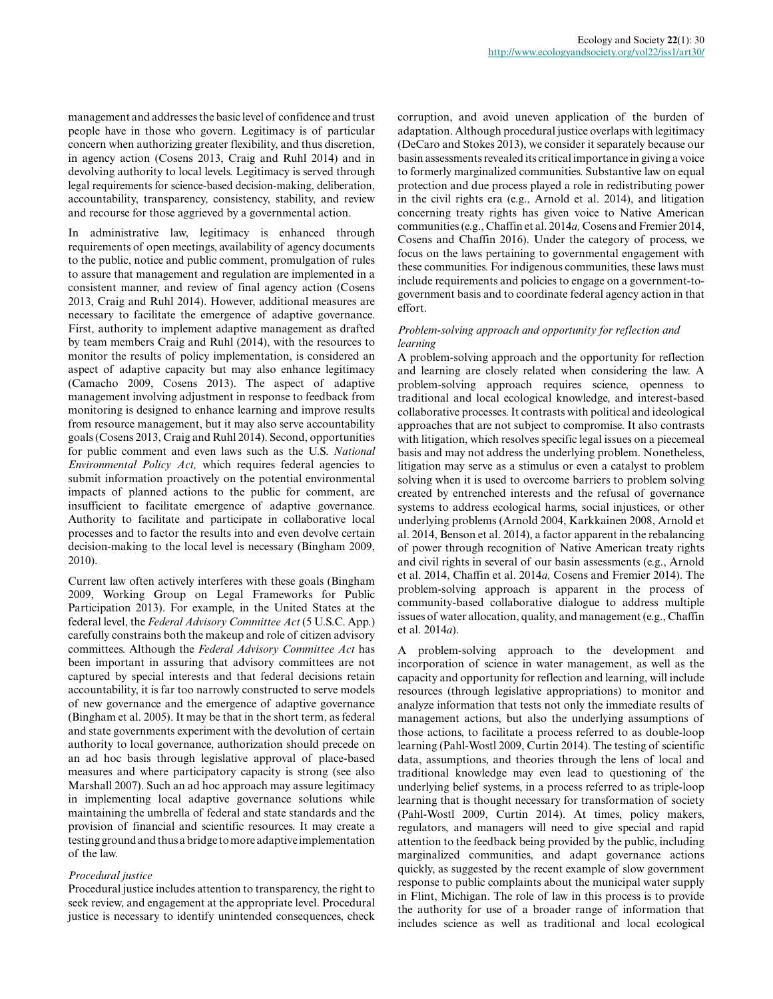management and addresses the basic level of confidence and trust people have in those who govern. Legitimacy is of particular concern when authorizing greater flexibility, and thus discretion, in agency action (Cosens 2013, Craig and Ruhl 2014) and in devolving authority to local levels. Legitimacy is served through legal requirements for science-based decision-making, deliberation, accountability, transparency, consistency, stability, and review and recourse for those aggrieved by a governmental action.

In administrative law, legitimacy is enhanced through requirements of open meetings, availability of agency documents to the public, notice and public comment, promulgation of rules to assure that management and regulation are implemented in a consistent manner, and review of final agency action (Cosens 2013, Craig and Ruhl 2014). However, additional measures are necessary to facilitate the emergence of adaptive governance. First, authority to implement adaptive management as drafted by team members Craig and Ruhl (2014), with the resources to monitor the results of policy implementation, is considered an aspect of adaptive capacity but may also enhance legitimacy (Camacho 2009, Cosens 2013). The aspect of adaptive management involving adjustment in response to feedback from monitoring is designed to enhance learning and improve results from resource management, but it may also serve accountability goals (Cosens 2013, Craig and Ruhl 2014). Second, opportunities for public comment and even laws such as the U.S. *National Environmental Policy Act,* which requires federal agencies to submit information proactively on the potential environmental impacts of planned actions to the public for comment, are insufficient to facilitate emergence of adaptive governance. Authority to facilitate and participate in collaborative local processes and to factor the results into and even devolve certain decision-making to the local level is necessary (Bingham 2009, 2010).

Current law often actively interferes with these goals (Bingham 2009, Working Group on Legal Frameworks for Public Participation 2013). For example, in the United States at the federal level, the *Federal Advisory Committee Act* (5 U.S.C. App.) carefully constrains both the makeup and role of citizen advisory committees. Although the *Federal Advisory Committee Act* has been important in assuring that advisory committees are not captured by special interests and that federal decisions retain accountability, it is far too narrowly constructed to serve models of new governance and the emergence of adaptive governance (Bingham et al. 2005). It may be that in the short term, as federal and state governments experiment with the devolution of certain authority to local governance, authorization should precede on an ad hoc basis through legislative approval of place-based measures and where participatory capacity is strong (see also Marshall 2007). Such an ad hoc approach may assure legitimacy in implementing local adaptive governance solutions while maintaining the umbrella of federal and state standards and the provision of financial and scientific resources. It may create a testing ground and thus a bridge to more adaptive implementation of the law.

#### *Procedural justice*

Procedural justice includes attention to transparency, the right to seek review, and engagement at the appropriate level. Procedural justice is necessary to identify unintended consequences, check corruption, and avoid uneven application of the burden of adaptation. Although procedural justice overlaps with legitimacy (DeCaro and Stokes 2013), we consider it separately because our basin assessments revealed its critical importance in giving a voice to formerly marginalized communities. Substantive law on equal protection and due process played a role in redistributing power in the civil rights era (e.g., Arnold et al. 2014), and litigation concerning treaty rights has given voice to Native American communities (e.g., Chaffin et al. 2014*a,* Cosens and Fremier 2014, Cosens and Chaffin 2016). Under the category of process, we focus on the laws pertaining to governmental engagement with these communities. For indigenous communities, these laws must include requirements and policies to engage on a government-togovernment basis and to coordinate federal agency action in that effort.

## *Problem-solving approach and opportunity for reflection and learning*

A problem-solving approach and the opportunity for reflection and learning are closely related when considering the law. A problem-solving approach requires science, openness to traditional and local ecological knowledge, and interest-based collaborative processes. It contrasts with political and ideological approaches that are not subject to compromise. It also contrasts with litigation, which resolves specific legal issues on a piecemeal basis and may not address the underlying problem. Nonetheless, litigation may serve as a stimulus or even a catalyst to problem solving when it is used to overcome barriers to problem solving created by entrenched interests and the refusal of governance systems to address ecological harms, social injustices, or other underlying problems (Arnold 2004, Karkkainen 2008, Arnold et al. 2014, Benson et al. 2014), a factor apparent in the rebalancing of power through recognition of Native American treaty rights and civil rights in several of our basin assessments (e.g., Arnold et al. 2014, Chaffin et al. 2014*a,* Cosens and Fremier 2014). The problem-solving approach is apparent in the process of community-based collaborative dialogue to address multiple issues of water allocation, quality, and management (e.g., Chaffin et al. 2014*a*).

A problem-solving approach to the development and incorporation of science in water management, as well as the capacity and opportunity for reflection and learning, will include resources (through legislative appropriations) to monitor and analyze information that tests not only the immediate results of management actions, but also the underlying assumptions of those actions, to facilitate a process referred to as double-loop learning (Pahl-Wostl 2009, Curtin 2014). The testing of scientific data, assumptions, and theories through the lens of local and traditional knowledge may even lead to questioning of the underlying belief systems, in a process referred to as triple-loop learning that is thought necessary for transformation of society (Pahl-Wostl 2009, Curtin 2014). At times, policy makers, regulators, and managers will need to give special and rapid attention to the feedback being provided by the public, including marginalized communities, and adapt governance actions quickly, as suggested by the recent example of slow government response to public complaints about the municipal water supply in Flint, Michigan. The role of law in this process is to provide the authority for use of a broader range of information that includes science as well as traditional and local ecological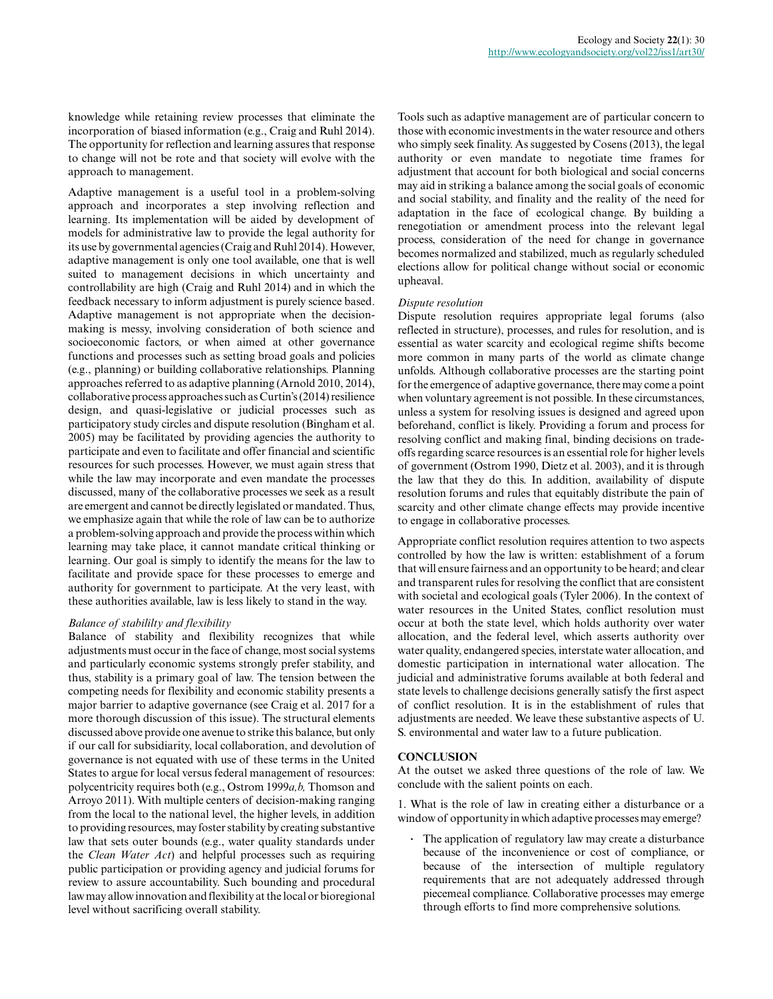knowledge while retaining review processes that eliminate the incorporation of biased information (e.g., Craig and Ruhl 2014). The opportunity for reflection and learning assures that response to change will not be rote and that society will evolve with the approach to management.

Adaptive management is a useful tool in a problem-solving approach and incorporates a step involving reflection and learning. Its implementation will be aided by development of models for administrative law to provide the legal authority for its use by governmental agencies (Craig and Ruhl 2014). However, adaptive management is only one tool available, one that is well suited to management decisions in which uncertainty and controllability are high (Craig and Ruhl 2014) and in which the feedback necessary to inform adjustment is purely science based. Adaptive management is not appropriate when the decisionmaking is messy, involving consideration of both science and socioeconomic factors, or when aimed at other governance functions and processes such as setting broad goals and policies (e.g., planning) or building collaborative relationships. Planning approaches referred to as adaptive planning (Arnold 2010, 2014), collaborative process approaches such as Curtin's (2014) resilience design, and quasi-legislative or judicial processes such as participatory study circles and dispute resolution (Bingham et al. 2005) may be facilitated by providing agencies the authority to participate and even to facilitate and offer financial and scientific resources for such processes. However, we must again stress that while the law may incorporate and even mandate the processes discussed, many of the collaborative processes we seek as a result are emergent and cannot be directly legislated or mandated. Thus, we emphasize again that while the role of law can be to authorize a problem-solving approach and provide the process within which learning may take place, it cannot mandate critical thinking or learning. Our goal is simply to identify the means for the law to facilitate and provide space for these processes to emerge and authority for government to participate. At the very least, with these authorities available, law is less likely to stand in the way.

#### *Balance of stabililty and flexibility*

Balance of stability and flexibility recognizes that while adjustments must occur in the face of change, most social systems and particularly economic systems strongly prefer stability, and thus, stability is a primary goal of law. The tension between the competing needs for flexibility and economic stability presents a major barrier to adaptive governance (see Craig et al. 2017 for a more thorough discussion of this issue). The structural elements discussed above provide one avenue to strike this balance, but only if our call for subsidiarity, local collaboration, and devolution of governance is not equated with use of these terms in the United States to argue for local versus federal management of resources: polycentricity requires both (e.g., Ostrom 1999*a,b,* Thomson and Arroyo 2011). With multiple centers of decision-making ranging from the local to the national level, the higher levels, in addition to providing resources, may foster stability by creating substantive law that sets outer bounds (e.g., water quality standards under the *Clean Water Act*) and helpful processes such as requiring public participation or providing agency and judicial forums for review to assure accountability. Such bounding and procedural law may allow innovation and flexibility at the local or bioregional level without sacrificing overall stability.

Tools such as adaptive management are of particular concern to those with economic investments in the water resource and others who simply seek finality. As suggested by Cosens (2013), the legal authority or even mandate to negotiate time frames for adjustment that account for both biological and social concerns may aid in striking a balance among the social goals of economic and social stability, and finality and the reality of the need for adaptation in the face of ecological change. By building a renegotiation or amendment process into the relevant legal process, consideration of the need for change in governance becomes normalized and stabilized, much as regularly scheduled elections allow for political change without social or economic upheaval.

#### *Dispute resolution*

Dispute resolution requires appropriate legal forums (also reflected in structure), processes, and rules for resolution, and is essential as water scarcity and ecological regime shifts become more common in many parts of the world as climate change unfolds. Although collaborative processes are the starting point for the emergence of adaptive governance, there may come a point when voluntary agreement is not possible. In these circumstances, unless a system for resolving issues is designed and agreed upon beforehand, conflict is likely. Providing a forum and process for resolving conflict and making final, binding decisions on tradeoffs regarding scarce resources is an essential role for higher levels of government (Ostrom 1990, Dietz et al. 2003), and it is through the law that they do this. In addition, availability of dispute resolution forums and rules that equitably distribute the pain of scarcity and other climate change effects may provide incentive to engage in collaborative processes.

Appropriate conflict resolution requires attention to two aspects controlled by how the law is written: establishment of a forum that will ensure fairness and an opportunity to be heard; and clear and transparent rules for resolving the conflict that are consistent with societal and ecological goals (Tyler 2006). In the context of water resources in the United States, conflict resolution must occur at both the state level, which holds authority over water allocation, and the federal level, which asserts authority over water quality, endangered species, interstate water allocation, and domestic participation in international water allocation. The judicial and administrative forums available at both federal and state levels to challenge decisions generally satisfy the first aspect of conflict resolution. It is in the establishment of rules that adjustments are needed. We leave these substantive aspects of U. S. environmental and water law to a future publication.

# **CONCLUSION**

At the outset we asked three questions of the role of law. We conclude with the salient points on each.

1. What is the role of law in creating either a disturbance or a window of opportunity in which adaptive processes may emerge?

**.** The application of regulatory law may create a disturbance because of the inconvenience or cost of compliance, or because of the intersection of multiple regulatory requirements that are not adequately addressed through piecemeal compliance. Collaborative processes may emerge through efforts to find more comprehensive solutions.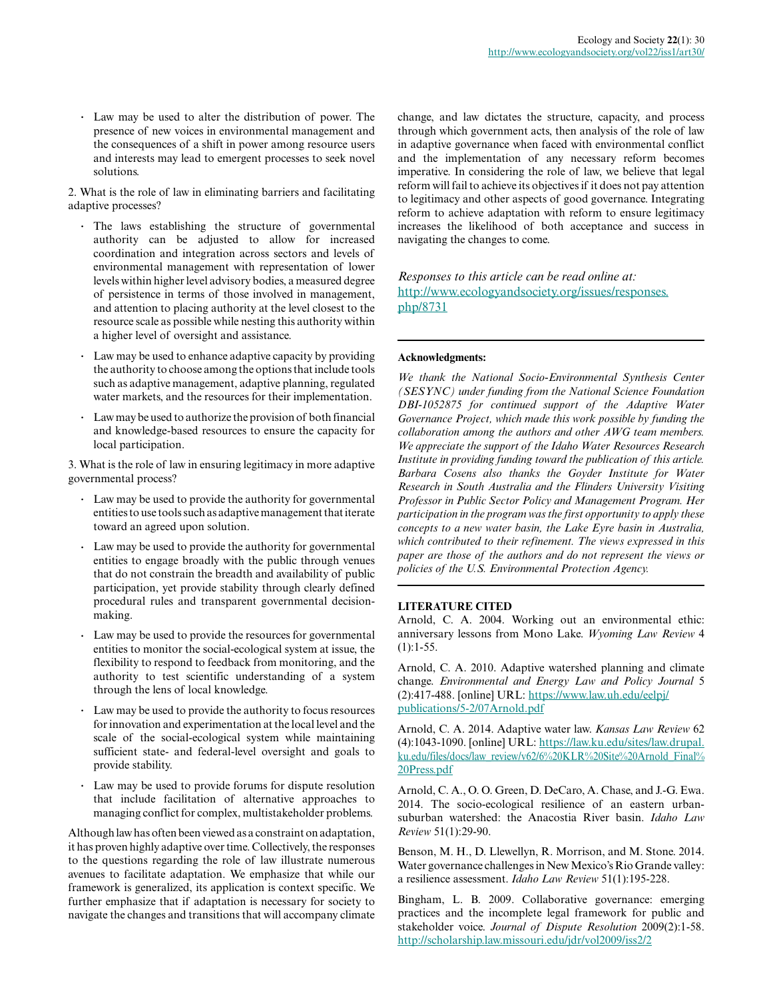**.** Law may be used to alter the distribution of power. The presence of new voices in environmental management and the consequences of a shift in power among resource users and interests may lead to emergent processes to seek novel solutions.

2. What is the role of law in eliminating barriers and facilitating adaptive processes?

- **.** The laws establishing the structure of governmental authority can be adjusted to allow for increased coordination and integration across sectors and levels of environmental management with representation of lower levels within higher level advisory bodies, a measured degree of persistence in terms of those involved in management, and attention to placing authority at the level closest to the resource scale as possible while nesting this authority within a higher level of oversight and assistance.
- **.** Law may be used to enhance adaptive capacity by providing the authority to choose among the options that include tools such as adaptive management, adaptive planning, regulated water markets, and the resources for their implementation.
- **.** Law may be used to authorize the provision of both financial and knowledge-based resources to ensure the capacity for local participation.

3. What is the role of law in ensuring legitimacy in more adaptive governmental process?

- **.** Law may be used to provide the authority for governmental entities to use tools such as adaptive management that iterate toward an agreed upon solution.
- **.** Law may be used to provide the authority for governmental entities to engage broadly with the public through venues that do not constrain the breadth and availability of public participation, yet provide stability through clearly defined procedural rules and transparent governmental decisionmaking.
- **.** Law may be used to provide the resources for governmental entities to monitor the social-ecological system at issue, the flexibility to respond to feedback from monitoring, and the authority to test scientific understanding of a system through the lens of local knowledge.
- **.** Law may be used to provide the authority to focus resources for innovation and experimentation at the local level and the scale of the social-ecological system while maintaining sufficient state- and federal-level oversight and goals to provide stability.
- **.** Law may be used to provide forums for dispute resolution that include facilitation of alternative approaches to managing conflict for complex, multistakeholder problems.

Although law has often been viewed as a constraint on adaptation, it has proven highly adaptive over time. Collectively, the responses to the questions regarding the role of law illustrate numerous avenues to facilitate adaptation. We emphasize that while our framework is generalized, its application is context specific. We further emphasize that if adaptation is necessary for society to navigate the changes and transitions that will accompany climate

change, and law dictates the structure, capacity, and process through which government acts, then analysis of the role of law in adaptive governance when faced with environmental conflict and the implementation of any necessary reform becomes imperative. In considering the role of law, we believe that legal reform will fail to achieve its objectives if it does not pay attention to legitimacy and other aspects of good governance. Integrating reform to achieve adaptation with reform to ensure legitimacy increases the likelihood of both acceptance and success in navigating the changes to come.

# *Responses to this article can be read online at:* [http://www.ecologyandsociety.org/issues/responses.](http://www.ecologyandsociety.org/issues/responses.php/8731) [php/8731](http://www.ecologyandsociety.org/issues/responses.php/8731)

#### **Acknowledgments:**

*We thank the National Socio-Environmental Synthesis Center (SESYNC) under funding from the National Science Foundation DBI-1052875 for continued support of the Adaptive Water Governance Project, which made this work possible by funding the collaboration among the authors and other AWG team members. We appreciate the support of the Idaho Water Resources Research Institute in providing funding toward the publication of this article. Barbara Cosens also thanks the Goyder Institute for Water Research in South Australia and the Flinders University Visiting Professor in Public Sector Policy and Management Program. Her participation in the program was the first opportunity to apply these concepts to a new water basin, the Lake Eyre basin in Australia, which contributed to their refinement. The views expressed in this paper are those of the authors and do not represent the views or policies of the U.S. Environmental Protection Agency.*

#### **LITERATURE CITED**

Arnold, C. A. 2004. Working out an environmental ethic: anniversary lessons from Mono Lake. *Wyoming Law Review* 4  $(1):1-55.$ 

Arnold, C. A. 2010. Adaptive watershed planning and climate change. *Environmental and Energy Law and Policy Journal* 5 (2):417-488. [online] URL: [https://www.law.uh.edu/eelpj/](https://www.law.uh.edu/eelpj/publications/5-2/07Arnold.pdf) [publications/5-2/07Arnold.pdf](https://www.law.uh.edu/eelpj/publications/5-2/07Arnold.pdf)

Arnold, C. A. 2014. Adaptive water law. *Kansas Law Review* 62 (4):1043-1090. [online] URL: [https://law.ku.edu/sites/law.drupal.](https://law.ku.edu/sites/law.drupal.ku.edu/files/docs/law_review/v62/6%20KLR%20Site%20Arnold_Final%20Press.pdf) [ku.edu/files/docs/law\\_review/v62/6%20KLR%20Site%20Arnold\\_Final%](https://law.ku.edu/sites/law.drupal.ku.edu/files/docs/law_review/v62/6%20KLR%20Site%20Arnold_Final%20Press.pdf) [20Press.pdf](https://law.ku.edu/sites/law.drupal.ku.edu/files/docs/law_review/v62/6%20KLR%20Site%20Arnold_Final%20Press.pdf)

Arnold, C. A., O. O. Green, D. DeCaro, A. Chase, and J.-G. Ewa. 2014. The socio-ecological resilience of an eastern urbansuburban watershed: the Anacostia River basin. *Idaho Law Review* 51(1):29-90.

Benson, M. H., D. Llewellyn, R. Morrison, and M. Stone. 2014. Water governance challenges in New Mexico's Rio Grande valley: a resilience assessment. *Idaho Law Review* 51(1):195-228.

Bingham, L. B. 2009. Collaborative governance: emerging practices and the incomplete legal framework for public and stakeholder voice. *Journal of Dispute Resolution* 2009(2):1-58. <http://scholarship.law.missouri.edu/jdr/vol2009/iss2/2>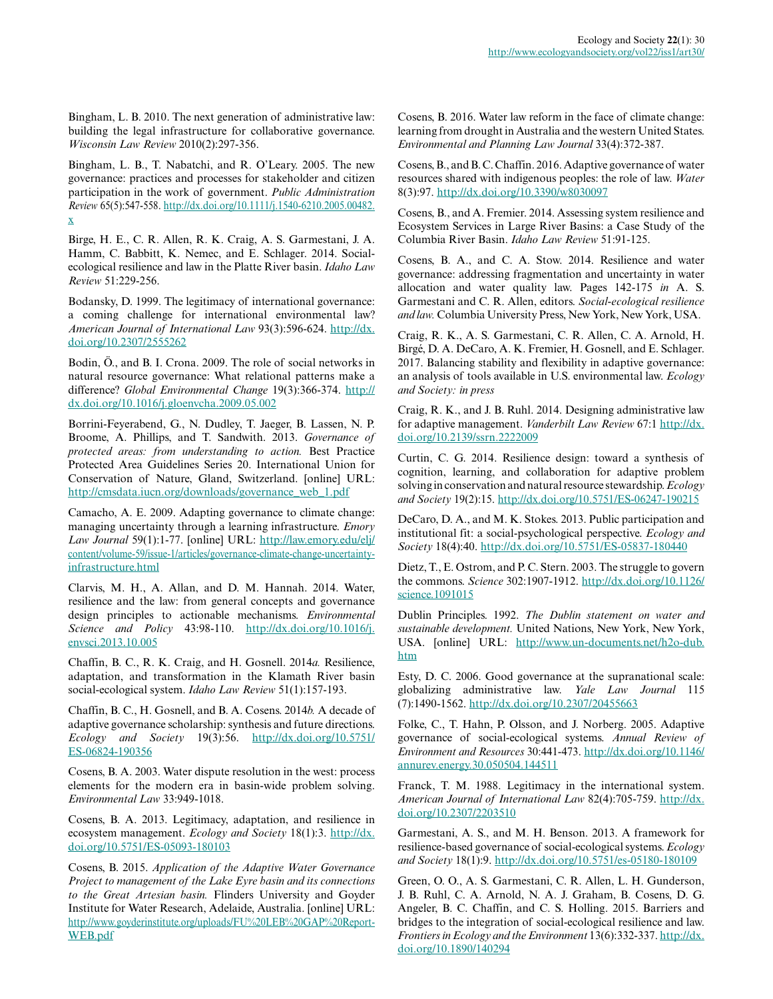Bingham, L. B. 2010. The next generation of administrative law: building the legal infrastructure for collaborative governance. *Wisconsin Law Review* 2010(2):297-356.

Bingham, L. B., T. Nabatchi, and R. O'Leary. 2005. The new governance: practices and processes for stakeholder and citizen participation in the work of government. *Public Administration Review* 65(5):547-558. [http://dx.doi.org/10.1111/j.1540-6210.2005.00482.](http://dx.doi.org/10.1111/j.1540-6210.2005.00482.x) [x](http://dx.doi.org/10.1111/j.1540-6210.2005.00482.x)

Birge, H. E., C. R. Allen, R. K. Craig, A. S. Garmestani, J. A. Hamm, C. Babbitt, K. Nemec, and E. Schlager. 2014. Socialecological resilience and law in the Platte River basin. *Idaho Law Review* 51:229-256.

Bodansky, D. 1999. The legitimacy of international governance: a coming challenge for international environmental law? *American Journal of International Law* 93(3):596-624. [http://dx.](http://dx.doi.org/10.2307/2555262) [doi.org/10.2307/2555262](http://dx.doi.org/10.2307/2555262) 

Bodin, Ö., and B. I. Crona. 2009. The role of social networks in natural resource governance: What relational patterns make a difference? *Global Environmental Change* 19(3):366-374. [http://](http://dx.doi.org/10.1016/j.gloenvcha.2009.05.002) [dx.doi.org/10.1016/j.gloenvcha.2009.05.002](http://dx.doi.org/10.1016/j.gloenvcha.2009.05.002) 

Borrini-Feyerabend, G., N. Dudley, T. Jaeger, B. Lassen, N. P. Broome, A. Phillips, and T. Sandwith. 2013. *Governance of protected areas: from understanding to action.* Best Practice Protected Area Guidelines Series 20. International Union for Conservation of Nature, Gland, Switzerland. [online] URL: [http://cmsdata.iucn.org/downloads/governance\\_web\\_1.pdf](http://cmsdata.iucn.org/downloads/governance_web_1.pdf)

Camacho, A. E. 2009. Adapting governance to climate change: managing uncertainty through a learning infrastructure. *Emory Law Journal* 59(1):1-77. [online] URL: [http://law.emory.edu/elj/](http://law.emory.edu/elj/content/volume-59/issue-1/articles/governance-climate-change-uncertainty-infrastructure.html) [content/volume-59/issue-1/articles/governance-climate-change-uncertainty](http://law.emory.edu/elj/content/volume-59/issue-1/articles/governance-climate-change-uncertainty-infrastructure.html)[infrastructure.html](http://law.emory.edu/elj/content/volume-59/issue-1/articles/governance-climate-change-uncertainty-infrastructure.html)

Clarvis, M. H., A. Allan, and D. M. Hannah. 2014. Water, resilience and the law: from general concepts and governance design principles to actionable mechanisms. *Environmental Science and Policy* 43:98-110. [http://dx.doi.org/10.1016/j.](http://dx.doi.org/10.1016/j.envsci.2013.10.005) [envsci.2013.10.005](http://dx.doi.org/10.1016/j.envsci.2013.10.005) 

Chaffin, B. C., R. K. Craig, and H. Gosnell. 2014*a.* Resilience, adaptation, and transformation in the Klamath River basin social-ecological system. *Idaho Law Review* 51(1):157-193.

Chaffin, B. C., H. Gosnell, and B. A. Cosens. 2014*b.* A decade of adaptive governance scholarship: synthesis and future directions. *Ecology and Society* 19(3):56. [http://dx.doi.org/10.5751/](http://dx.doi.org/10.5751/ES-06824-190356) [ES-06824-190356](http://dx.doi.org/10.5751/ES-06824-190356)

Cosens, B. A. 2003. Water dispute resolution in the west: process elements for the modern era in basin-wide problem solving. *Environmental Law* 33:949-1018.

Cosens, B. A. 2013. Legitimacy, adaptation, and resilience in ecosystem management. *Ecology and Society* 18(1):3. [http://dx.](http://dx.doi.org/10.5751/ES-05093-180103) [doi.org/10.5751/ES-05093-180103](http://dx.doi.org/10.5751/ES-05093-180103)

Cosens, B. 2015. *Application of the Adaptive Water Governance Project to management of the Lake Eyre basin and its connections to the Great Artesian basin.* Flinders University and Goyder Institute for Water Research, Adelaide, Australia. [online] URL: [http://www.goyderinstitute.org/uploads/FU%20LEB%20GAP%20Report-](http://www.goyderinstitute.org/uploads/FU%20LEB%20GAP%20Report-WEB.pdf)[WEB.pdf](http://www.goyderinstitute.org/uploads/FU%20LEB%20GAP%20Report-WEB.pdf)

Cosens, B. 2016. Water law reform in the face of climate change: learning from drought in Australia and the western United States. *Environmental and Planning Law Journal* 33(4):372-387.

Cosens, B., and B. C. Chaffin. 2016. Adaptive governance of water resources shared with indigenous peoples: the role of law. *Water* 8(3):97.<http://dx.doi.org/10.3390/w8030097>

Cosens, B., and A. Fremier. 2014. Assessing system resilience and Ecosystem Services in Large River Basins: a Case Study of the Columbia River Basin. *Idaho Law Review* 51:91-125.

Cosens, B. A., and C. A. Stow. 2014. Resilience and water governance: addressing fragmentation and uncertainty in water allocation and water quality law. Pages 142-175 *in* A. S. Garmestani and C. R. Allen, editors. *Social-ecological resilience and law.* Columbia University Press, New York, New York, USA.

Craig, R. K., A. S. Garmestani, C. R. Allen, C. A. Arnold, H. Birgé, D. A. DeCaro, A. K. Fremier, H. Gosnell, and E. Schlager. 2017. Balancing stability and flexibility in adaptive governance: an analysis of tools available in U.S. environmental law. *Ecology and Society: in press*

Craig, R. K., and J. B. Ruhl. 2014. Designing administrative law for adaptive management. *Vanderbilt Law Review* 67:1 [http://dx.](http://dx.doi.org/10.2139/ssrn.2222009) [doi.org/10.2139/ssrn.2222009](http://dx.doi.org/10.2139/ssrn.2222009)

Curtin, C. G. 2014. Resilience design: toward a synthesis of cognition, learning, and collaboration for adaptive problem solving in conservation and natural resource stewardship. *Ecology and Society* 19(2):15.<http://dx.doi.org/10.5751/ES-06247-190215>

DeCaro, D. A., and M. K. Stokes. 2013. Public participation and institutional fit: a social-psychological perspective. *Ecology and Society* 18(4):40. <http://dx.doi.org/10.5751/ES-05837-180440>

Dietz, T., E. Ostrom, and P. C. Stern. 2003. The struggle to govern the commons. *Science* 302:1907-1912. [http://dx.doi.org/10.1126/](http://dx.doi.org/10.1126/science.1091015) [science.1091015](http://dx.doi.org/10.1126/science.1091015)

Dublin Principles. 1992. *The Dublin statement on water and sustainable development.* United Nations, New York, New York, USA. [online] URL: [http://www.un-documents.net/h2o-dub.](http://www.un-documents.net/h2o-dub.htm) [htm](http://www.un-documents.net/h2o-dub.htm)

Esty, D. C. 2006. Good governance at the supranational scale: globalizing administrative law. *Yale Law Journal* 115 (7):1490-1562. <http://dx.doi.org/10.2307/20455663>

Folke, C., T. Hahn, P. Olsson, and J. Norberg. 2005. Adaptive governance of social-ecological systems. *Annual Review of Environment and Resources* 30:441-473. [http://dx.doi.org/10.1146/](http://dx.doi.org/10.1146/annurev.energy.30.050504.144511) [annurev.energy.30.050504.144511](http://dx.doi.org/10.1146/annurev.energy.30.050504.144511) 

Franck, T. M. 1988. Legitimacy in the international system. *American Journal of International Law* 82(4):705-759. [http://dx.](http://dx.doi.org/10.2307/2203510) [doi.org/10.2307/2203510](http://dx.doi.org/10.2307/2203510) 

Garmestani, A. S., and M. H. Benson. 2013. A framework for resilience-based governance of social-ecological systems. *Ecology and Society* 18(1):9. <http://dx.doi.org/10.5751/es-05180-180109>

Green, O. O., A. S. Garmestani, C. R. Allen, L. H. Gunderson, J. B. Ruhl, C. A. Arnold, N. A. J. Graham, B. Cosens, D. G. Angeler, B. C. Chaffin, and C. S. Holling. 2015. Barriers and bridges to the integration of social-ecological resilience and law. *Frontiers in Ecology and the Environment* 13(6):332-337. [http://dx.](http://dx.doi.org/10.1890/140294) [doi.org/10.1890/140294](http://dx.doi.org/10.1890/140294)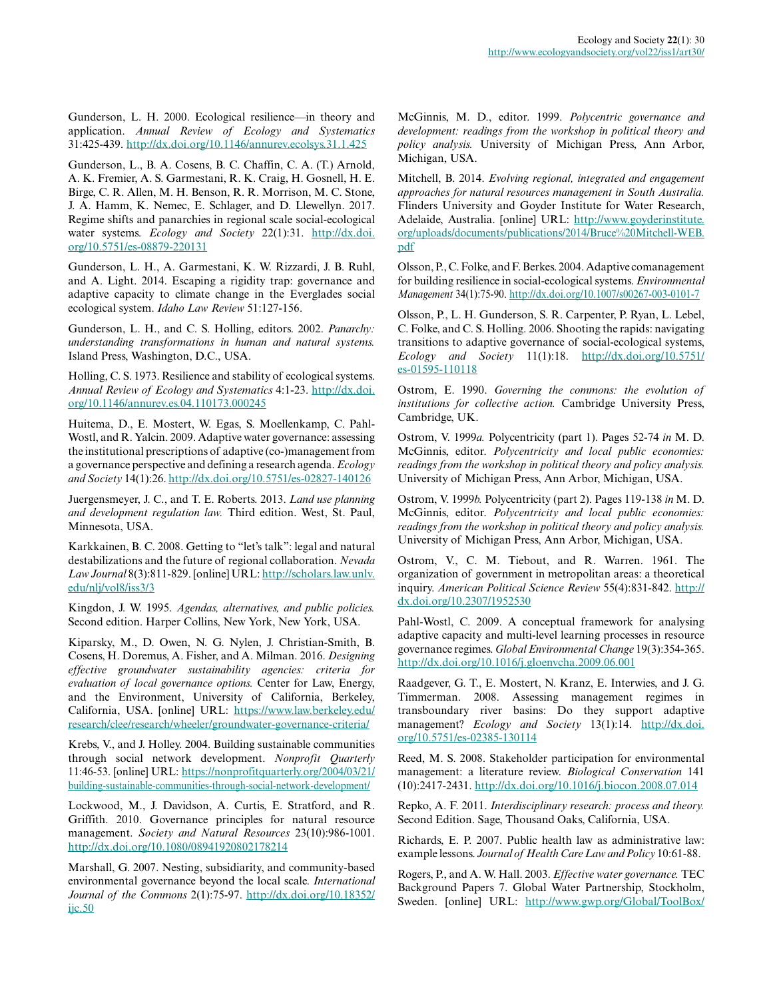Gunderson, L. H. 2000. Ecological resilience—in theory and application. *Annual Review of Ecology and Systematics* 31:425-439.<http://dx.doi.org/10.1146/annurev.ecolsys.31.1.425>

Gunderson, L., B. A. Cosens, B. C. Chaffin, C. A. (T.) Arnold, A. K. Fremier, A. S. Garmestani, R. K. Craig, H. Gosnell, H. E. Birge, C. R. Allen, M. H. Benson, R. R. Morrison, M. C. Stone, J. A. Hamm, K. Nemec, E. Schlager, and D. Llewellyn. 2017. Regime shifts and panarchies in regional scale social-ecological water systems. *Ecology and Society* 22(1):31. [http://dx.doi.](http://dx.doi.org/10.5751/es-08879-220131) [org/10.5751/es-08879-220131](http://dx.doi.org/10.5751/es-08879-220131)

Gunderson, L. H., A. Garmestani, K. W. Rizzardi, J. B. Ruhl, and A. Light. 2014. Escaping a rigidity trap: governance and adaptive capacity to climate change in the Everglades social ecological system. *Idaho Law Review* 51:127-156.

Gunderson, L. H., and C. S. Holling, editors. 2002. *Panarchy: understanding transformations in human and natural systems.* Island Press, Washington, D.C., USA.

Holling, C. S. 1973. Resilience and stability of ecological systems. *Annual Review of Ecology and Systematics* 4:1-23. [http://dx.doi.](http://dx.doi.org/10.1146/annurev.es.04.110173.000245) [org/10.1146/annurev.es.04.110173.000245](http://dx.doi.org/10.1146/annurev.es.04.110173.000245) 

Huitema, D., E. Mostert, W. Egas, S. Moellenkamp, C. Pahl-Wostl, and R. Yalcin. 2009. Adaptive water governance: assessing the institutional prescriptions of adaptive (co-)management from a governance perspective and defining a research agenda. *Ecology and Society* 14(1):26.<http://dx.doi.org/10.5751/es-02827-140126>

Juergensmeyer, J. C., and T. E. Roberts. 2013. *Land use planning and development regulation law.* Third edition. West, St. Paul, Minnesota, USA.

Karkkainen, B. C. 2008. Getting to "let's talk": legal and natural destabilizations and the future of regional collaboration. *Nevada Law Journal* 8(3):811-829. [online] URL: [http://scholars.law.unlv.](http://scholars.law.unlv.edu/nlj/vol8/iss3/3) [edu/nlj/vol8/iss3/3](http://scholars.law.unlv.edu/nlj/vol8/iss3/3)

Kingdon, J. W. 1995. *Agendas, alternatives, and public policies.* Second edition. Harper Collins, New York, New York, USA.

Kiparsky, M., D. Owen, N. G. Nylen, J. Christian-Smith, B. Cosens, H. Doremus, A. Fisher, and A. Milman. 2016. *Designing effective groundwater sustainability agencies: criteria for evaluation of local governance options.* Center for Law, Energy, and the Environment, University of California, Berkeley, California, USA. [online] URL: [https://www.law.berkeley.edu/](https://www.law.berkeley.edu/research/clee/research/wheeler/groundwater-governance-criteria/) [research/clee/research/wheeler/groundwater-governance-criteria/](https://www.law.berkeley.edu/research/clee/research/wheeler/groundwater-governance-criteria/) 

Krebs, V., and J. Holley. 2004. Building sustainable communities through social network development. *Nonprofit Quarterly* 11:46-53. [online] URL: [https://nonprofitquarterly.org/2004/03/21/](https://nonprofitquarterly.org/2004/03/21/building-sustainable-communities-through-social-network-development/) [building-sustainable-communities-through-social-network-development/](https://nonprofitquarterly.org/2004/03/21/building-sustainable-communities-through-social-network-development/)

Lockwood, M., J. Davidson, A. Curtis, E. Stratford, and R. Griffith. 2010. Governance principles for natural resource management. *Society and Natural Resources* 23(10):986-1001. <http://dx.doi.org/10.1080/08941920802178214>

Marshall, G. 2007. Nesting, subsidiarity, and community-based environmental governance beyond the local scale. *International Journal of the Commons* 2(1):75-97. [http://dx.doi.org/10.18352/](http://dx.doi.org/10.18352/ijc.50)  $i$ jc.50

McGinnis, M. D., editor. 1999. *Polycentric governance and development: readings from the workshop in political theory and policy analysis.* University of Michigan Press, Ann Arbor, Michigan, USA.

Mitchell, B. 2014. *Evolving regional, integrated and engagement approaches for natural resources management in South Australia.* Flinders University and Goyder Institute for Water Research, Adelaide, Australia. [online] URL: [http://www.goyderinstitute.](http://www.goyderinstitute.org/uploads/documents/publications/2014/Bruce%20Mitchell-WEB.pdf) [org/uploads/documents/publications/2014/Bruce%20Mitchell-WEB.](http://www.goyderinstitute.org/uploads/documents/publications/2014/Bruce%20Mitchell-WEB.pdf) [pdf](http://www.goyderinstitute.org/uploads/documents/publications/2014/Bruce%20Mitchell-WEB.pdf)

Olsson, P., C. Folke, and F. Berkes. 2004. Adaptive comanagement for building resilience in social-ecological systems. *Environmental Management* 34(1):75-90.<http://dx.doi.org/10.1007/s00267-003-0101-7>

Olsson, P., L. H. Gunderson, S. R. Carpenter, P. Ryan, L. Lebel, C. Folke, and C. S. Holling. 2006. Shooting the rapids: navigating transitions to adaptive governance of social-ecological systems, *Ecology and Society* 11(1):18. [http://dx.doi.org/10.5751/](http://dx.doi.org/10.5751/es-01595-110118) [es-01595-110118](http://dx.doi.org/10.5751/es-01595-110118) 

Ostrom, E. 1990. *Governing the commons: the evolution of institutions for collective action.* Cambridge University Press, Cambridge, UK.

Ostrom, V. 1999*a.* Polycentricity (part 1). Pages 52-74 *in* M. D. McGinnis, editor. *Polycentricity and local public economies: readings from the workshop in political theory and policy analysis.* University of Michigan Press, Ann Arbor, Michigan, USA.

Ostrom, V. 1999*b.* Polycentricity (part 2). Pages 119-138 *in* M. D. McGinnis, editor. *Polycentricity and local public economies: readings from the workshop in political theory and policy analysis.* University of Michigan Press, Ann Arbor, Michigan, USA.

Ostrom, V., C. M. Tiebout, and R. Warren. 1961. The organization of government in metropolitan areas: a theoretical inquiry. *American Political Science Review* 55(4):831-842. [http://](http://dx.doi.org/10.2307/1952530) [dx.doi.org/10.2307/1952530](http://dx.doi.org/10.2307/1952530)

Pahl-Wostl, C. 2009. A conceptual framework for analysing adaptive capacity and multi-level learning processes in resource governance regimes. *Global Environmental Change* 19(3):354-365. <http://dx.doi.org/10.1016/j.gloenvcha.2009.06.001>

Raadgever, G. T., E. Mostert, N. Kranz, E. Interwies, and J. G. Timmerman. 2008. Assessing management regimes in transboundary river basins: Do they support adaptive management? *Ecology and Society* 13(1):14. [http://dx.doi.](http://dx.doi.org/10.5751/es-02385-130114) [org/10.5751/es-02385-130114](http://dx.doi.org/10.5751/es-02385-130114)

Reed, M. S. 2008. Stakeholder participation for environmental management: a literature review. *Biological Conservation* 141 (10):2417-2431.<http://dx.doi.org/10.1016/j.biocon.2008.07.014>

Repko, A. F. 2011. *Interdisciplinary research: process and theory.* Second Edition. Sage, Thousand Oaks, California, USA.

Richards, E. P. 2007. Public health law as administrative law: example lessons. *Journal of Health Care Law and Policy* 10:61-88.

Rogers, P., and A. W. Hall. 2003. *Effective water governance.* TEC Background Papers 7. Global Water Partnership, Stockholm, Sweden. [online] URL: [http://www.gwp.org/Global/ToolBox/](http://www.gwp.org/Global/ToolBox/Publications/Background%20papers/07%20Effective%20Water%20Governance%20%282003%29%20English.pdf)